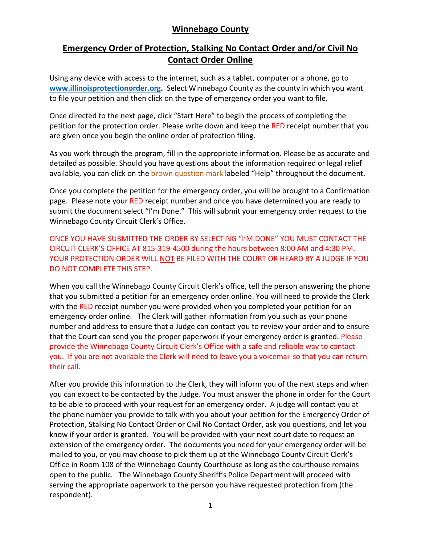## **Winnebago County**

# **Emergency Order of Protection, Stalking No Contact Order and/or Civil No Contact Order Online**

Using any device with access to the internet, such as a tablet, computer or a phone, go to **[www.illinoisprotectionorder.org.](http://www.illinoisprotectionorder.org/)** Select Winnebago County as the county in which you want to file your petition and then click on the type of emergency order you want to file.

Once directed to the next page, click "Start Here" to begin the process of completing the petition for the protection order. Please write down and keep the RED receipt number that you are given once you begin the online order of protection filing.

As you work through the program, fill in the appropriate information. Please be as accurate and detailed as possible. Should you have questions about the information required or legal relief available, you can click on the brown question mark labeled "Help" throughout the document.

Once you complete the petition for the emergency order, you will be brought to a Confirmation page. Please note your RED receipt number and once you have determined you are ready to submit the document select "I'm Done." This will submit your emergency order request to the Winnebago County Circuit Clerk's Office.

ONCE YOU HAVE SUBMITTED THE ORDER BY SELECTING "I'M DONE" YOU MUST CONTACT THE CIRCUIT CLERK'S OFFICE AT 815-319-4500 during the hours between 8:00 AM and 4:30 PM. YOUR PROTECTION ORDER WILL NOT BE FILED WITH THE COURT OR HEARD BY A JUDGE IF YOU DO NOT COMPLETE THIS STEP.

When you call the Winnebago County Circuit Clerk's office, tell the person answering the phone that you submitted a petition for an emergency order online. You will need to provide the Clerk with the RED receipt number you were provided when you completed your petition for an emergency order online. The Clerk will gather information from you such as your phone number and address to ensure that a Judge can contact you to review your order and to ensure that the Court can send you the proper paperwork if your emergency order is granted. Please provide the Winnebago County Circuit Clerk's Office with a safe and reliable way to contact you. If you are not available the Clerk will need to leave you a voicemail so that you can return their call.

After you provide this information to the Clerk, they will inform you of the next steps and when you can expect to be contacted by the Judge. You must answer the phone in order for the Court to be able to proceed with your request for an emergency order. A judge will contact you at the phone number you provide to talk with you about your petition for the Emergency Order of Protection, Stalking No Contact Order or Civil No Contact Order, ask you questions, and let you know if your order is granted. You will be provided with your next court date to request an extension of the emergency order. The documents you need for your emergency order will be mailed to you, or you may choose to pick them up at the Winnebago County Circuit Clerk's Office in Room 108 of the Winnebago County Courthouse as long as the courthouse remains open to the public. The Winnebago County Sheriff's Police Department will proceed with serving the appropriate paperwork to the person you have requested protection from (the respondent).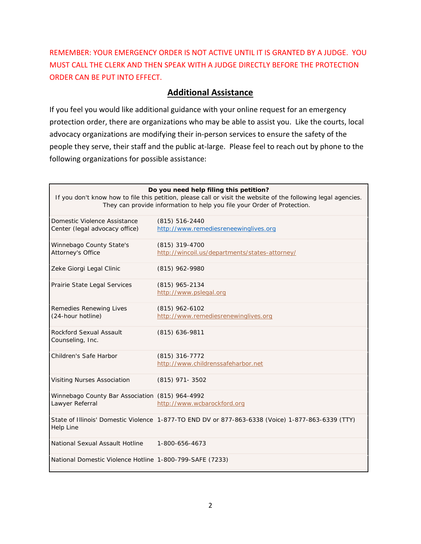REMEMBER: YOUR EMERGENCY ORDER IS NOT ACTIVE UNTIL IT IS GRANTED BY A JUDGE. YOU MUST CALL THE CLERK AND THEN SPEAK WITH A JUDGE DIRECTLY BEFORE THE PROTECTION ORDER CAN BE PUT INTO EFFECT.

### **Additional Assistance**

If you feel you would like additional guidance with your online request for an emergency protection order, there are organizations who may be able to assist you. Like the courts, local advocacy organizations are modifying their in-person services to ensure the safety of the people they serve, their staff and the public at-large. Please feel to reach out by phone to the following organizations for possible assistance:

| Do you need help filing this petition?<br>If you don't know how to file this petition, please call or visit the website of the following legal agencies.<br>They can provide information to help you file your Order of Protection. |                                                                                                   |
|-------------------------------------------------------------------------------------------------------------------------------------------------------------------------------------------------------------------------------------|---------------------------------------------------------------------------------------------------|
| Domestic Violence Assistance<br>Center (legal advocacy office)                                                                                                                                                                      | $(815) 516 - 2440$<br>http://www.remediesreneewinglives.org                                       |
| Winnebago County State's<br>Attorney's Office                                                                                                                                                                                       | (815) 319-4700<br>http://wincoil.us/departments/states-attorney/                                  |
| Zeke Giorgi Legal Clinic                                                                                                                                                                                                            | (815) 962-9980                                                                                    |
| Prairie State Legal Services                                                                                                                                                                                                        | $(815)$ 965-2134<br>http://www.pslegal.org                                                        |
| Remedies Renewing Lives<br>(24-hour hotline)                                                                                                                                                                                        | $(815)$ 962-6102<br>http://www.remediesrenewinglives.org                                          |
| Rockford Sexual Assault<br>Counseling, Inc.                                                                                                                                                                                         | $(815)$ 636-9811                                                                                  |
| Children's Safe Harbor                                                                                                                                                                                                              | $(815)$ 316-7772<br>http://www.childrenssafeharbor.net                                            |
| Visiting Nurses Association                                                                                                                                                                                                         | $(815)$ 971- 3502                                                                                 |
| Winnebago County Bar Association (815) 964-4992<br>Lawyer Referral                                                                                                                                                                  | http://www.wcbarockford.org                                                                       |
| <b>Help Line</b>                                                                                                                                                                                                                    | State of Illinois' Domestic Violence 1-877-TO END DV or 877-863-6338 (Voice) 1-877-863-6339 (TTY) |
| National Sexual Assault Hotline                                                                                                                                                                                                     | 1-800-656-4673                                                                                    |
| National Domestic Violence Hotline 1-800-799-SAFE (7233)                                                                                                                                                                            |                                                                                                   |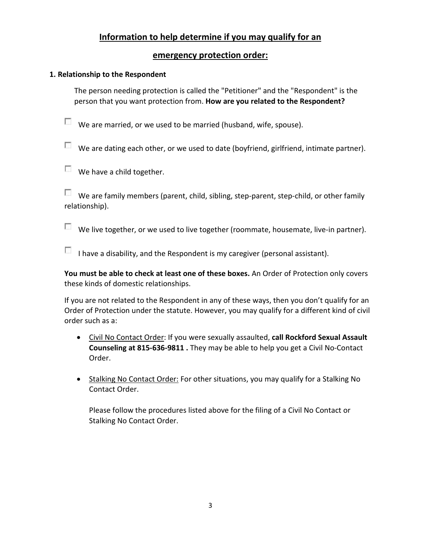# **Information to help determine if you may qualify for an**

## **emergency protection order:**

### **1. Relationship to the Respondent**

The person needing protection is called the "Petitioner" and the "Respondent" is the person that you want protection from. **How are you related to the Respondent?**

 $\Box$  We are married, or we used to be married (husband, wife, spouse).

 $\Box$  We are dating each other, or we used to date (boyfriend, girlfriend, intimate partner).

We have a child together.

We are family members (parent, child, sibling, step-parent, step-child, or other family relationship).

 $\Box$  We live together, or we used to live together (roommate, housemate, live-in partner).

I have a disability, and the Respondent is my caregiver (personal assistant).

**You must be able to check at least one of these boxes.** An Order of Protection only covers these kinds of domestic relationships.

If you are not related to the Respondent in any of these ways, then you don't qualify for an Order of Protection under the statute. However, you may qualify for a different kind of civil order such as a:

- Civil No Contact Order: If you were sexually assaulted, **call Rockford Sexual Assault Counseling at 815-636-9811 .** They may be able to help you get a Civil No-Contact Order.
- Stalking No Contact Order: For other situations, you may qualify for a Stalking No Contact Order.

Please follow the procedures listed above for the filing of a Civil No Contact or Stalking No Contact Order.